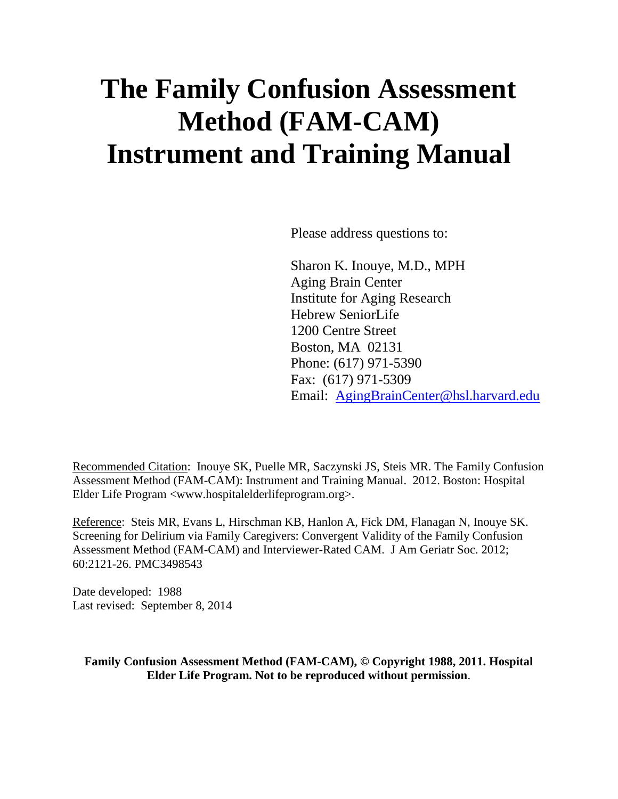# **The Family Confusion Assessment Method (FAM-CAM) Instrument and Training Manual**

Please address questions to:

Sharon K. Inouye, M.D., MPH Aging Brain Center Institute for Aging Research Hebrew SeniorLife 1200 Centre Street Boston, MA 02131 Phone: (617) 971-5390 Fax: (617) 971-5309 Email: [AgingBrainCenter@hsl.harvard.edu](mailto:AgingBrainCenter@hsl.harvard.edu)

Recommended Citation: Inouye SK, Puelle MR, Saczynski JS, Steis MR. The Family Confusion Assessment Method (FAM-CAM): Instrument and Training Manual. 2012. Boston: Hospital Elder Life Program <www.hospitalelderlifeprogram.org>.

Reference: Steis MR, Evans L, Hirschman KB, Hanlon A, Fick DM, Flanagan N, Inouye SK. Screening for Delirium via Family Caregivers: Convergent Validity of the Family Confusion Assessment Method (FAM-CAM) and Interviewer-Rated CAM. J Am Geriatr Soc. 2012; 60:2121-26. PMC3498543

Date developed: 1988 Last revised: September 8, 2014

**Family Confusion Assessment Method (FAM-CAM), © Copyright 1988, 2011. Hospital Elder Life Program. Not to be reproduced without permission**.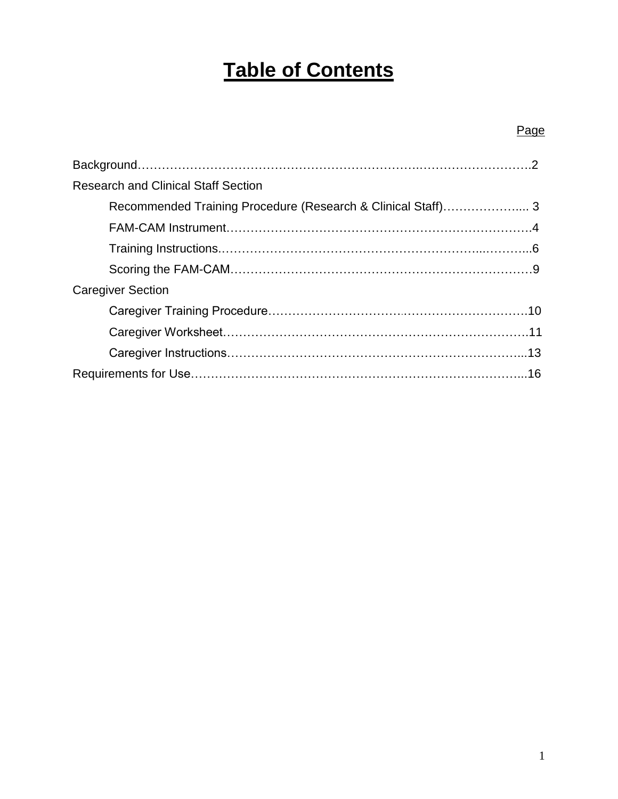# **Table of Contents**

### Page

| <b>Research and Clinical Staff Section</b>                  |  |
|-------------------------------------------------------------|--|
| Recommended Training Procedure (Research & Clinical Staff)3 |  |
|                                                             |  |
|                                                             |  |
|                                                             |  |
| <b>Caregiver Section</b>                                    |  |
|                                                             |  |
|                                                             |  |
|                                                             |  |
|                                                             |  |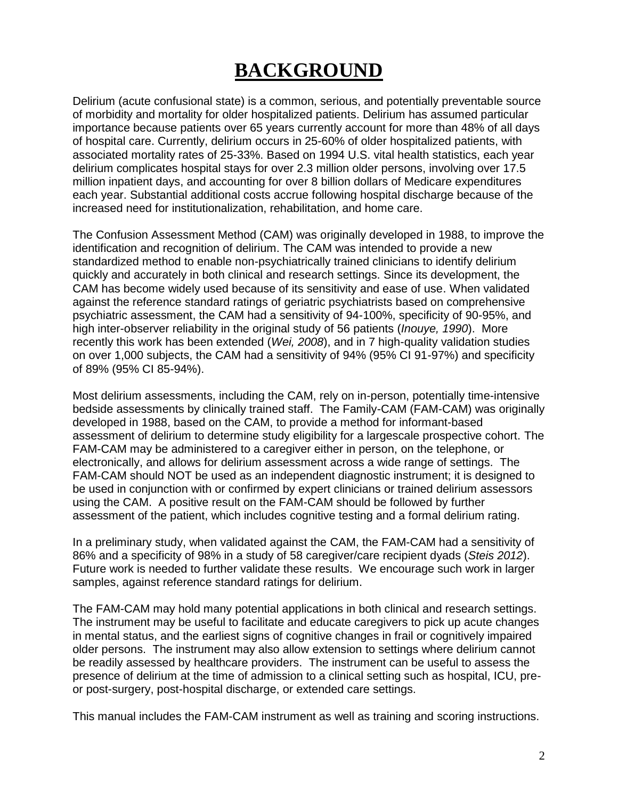# **BACKGROUND**

Delirium (acute confusional state) is a common, serious, and potentially preventable source of morbidity and mortality for older hospitalized patients. Delirium has assumed particular importance because patients over 65 years currently account for more than 48% of all days of hospital care. Currently, delirium occurs in 25-60% of older hospitalized patients, with associated mortality rates of 25-33%. Based on 1994 U.S. vital health statistics, each year delirium complicates hospital stays for over 2.3 million older persons, involving over 17.5 million inpatient days, and accounting for over 8 billion dollars of Medicare expenditures each year. Substantial additional costs accrue following hospital discharge because of the increased need for institutionalization, rehabilitation, and home care.

The Confusion Assessment Method (CAM) was originally developed in 1988, to improve the identification and recognition of delirium. The CAM was intended to provide a new standardized method to enable non-psychiatrically trained clinicians to identify delirium quickly and accurately in both clinical and research settings. Since its development, the CAM has become widely used because of its sensitivity and ease of use. When validated against the reference standard ratings of geriatric psychiatrists based on comprehensive psychiatric assessment, the CAM had a sensitivity of 94-100%, specificity of 90-95%, and high inter-observer reliability in the original study of 56 patients (*Inouye, 1990*). More recently this work has been extended (*Wei, 2008*), and in 7 high-quality validation studies on over 1,000 subjects, the CAM had a sensitivity of 94% (95% CI 91-97%) and specificity of 89% (95% CI 85-94%).

Most delirium assessments, including the CAM, rely on in-person, potentially time-intensive bedside assessments by clinically trained staff. The Family-CAM (FAM-CAM) was originally developed in 1988, based on the CAM, to provide a method for informant-based assessment of delirium to determine study eligibility for a largescale prospective cohort. The FAM-CAM may be administered to a caregiver either in person, on the telephone, or electronically, and allows for delirium assessment across a wide range of settings. The FAM-CAM should NOT be used as an independent diagnostic instrument; it is designed to be used in conjunction with or confirmed by expert clinicians or trained delirium assessors using the CAM. A positive result on the FAM-CAM should be followed by further assessment of the patient, which includes cognitive testing and a formal delirium rating.

In a preliminary study, when validated against the CAM, the FAM-CAM had a sensitivity of 86% and a specificity of 98% in a study of 58 caregiver/care recipient dyads (*Steis 2012*). Future work is needed to further validate these results. We encourage such work in larger samples, against reference standard ratings for delirium.

The FAM-CAM may hold many potential applications in both clinical and research settings. The instrument may be useful to facilitate and educate caregivers to pick up acute changes in mental status, and the earliest signs of cognitive changes in frail or cognitively impaired older persons. The instrument may also allow extension to settings where delirium cannot be readily assessed by healthcare providers. The instrument can be useful to assess the presence of delirium at the time of admission to a clinical setting such as hospital, ICU, preor post-surgery, post-hospital discharge, or extended care settings.

This manual includes the FAM-CAM instrument as well as training and scoring instructions.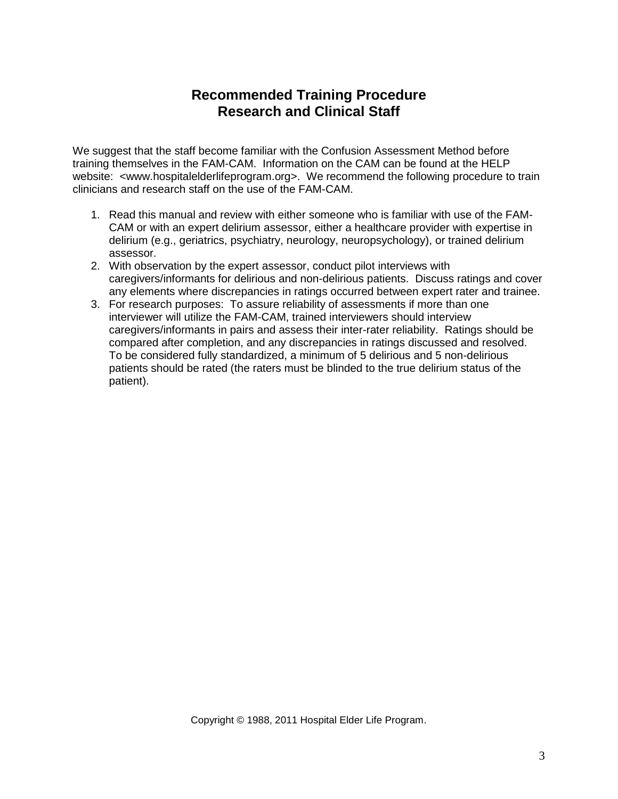### **Recommended Training Procedure Research and Clinical Staff**

We suggest that the staff become familiar with the Confusion Assessment Method before training themselves in the FAM-CAM. Information on the CAM can be found at the HELP website: <www.hospitalelderlifeprogram.org>. We recommend the following procedure to train clinicians and research staff on the use of the FAM-CAM.

- 1. Read this manual and review with either someone who is familiar with use of the FAM-CAM or with an expert delirium assessor, either a healthcare provider with expertise in delirium (e.g., geriatrics, psychiatry, neurology, neuropsychology), or trained delirium assessor.
- 2. With observation by the expert assessor, conduct pilot interviews with caregivers/informants for delirious and non-delirious patients. Discuss ratings and cover any elements where discrepancies in ratings occurred between expert rater and trainee.
- 3. For research purposes: To assure reliability of assessments if more than one interviewer will utilize the FAM-CAM, trained interviewers should interview caregivers/informants in pairs and assess their inter-rater reliability. Ratings should be compared after completion, and any discrepancies in ratings discussed and resolved. To be considered fully standardized, a minimum of 5 delirious and 5 non-delirious patients should be rated (the raters must be blinded to the true delirium status of the patient).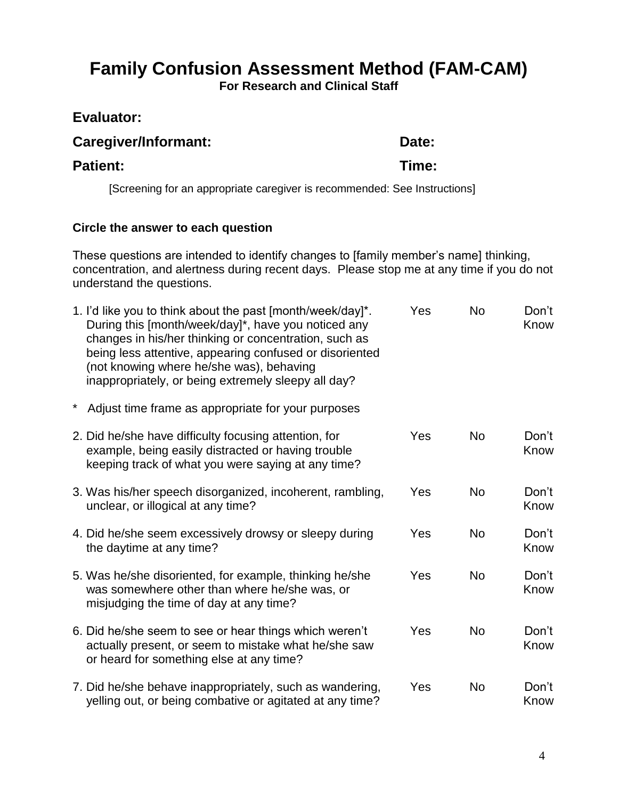# **Family Confusion Assessment Method (FAM-CAM)**

**For Research and Clinical Staff**

### **Evaluator:**

### Caregiver/Informant: Date:

### **Patient: Time:**

[Screening for an appropriate caregiver is recommended: See Instructions]

### **Circle the answer to each question**

These questions are intended to identify changes to [family member's name] thinking, concentration, and alertness during recent days. Please stop me at any time if you do not understand the questions.

| 1. I'd like you to think about the past [month/week/day]*.<br>During this [month/week/day]*, have you noticed any<br>changes in his/her thinking or concentration, such as<br>being less attentive, appearing confused or disoriented<br>(not knowing where he/she was), behaving<br>inappropriately, or being extremely sleepy all day? | Yes | <b>No</b> | Don't<br>Know |
|------------------------------------------------------------------------------------------------------------------------------------------------------------------------------------------------------------------------------------------------------------------------------------------------------------------------------------------|-----|-----------|---------------|
| Adjust time frame as appropriate for your purposes                                                                                                                                                                                                                                                                                       |     |           |               |
| 2. Did he/she have difficulty focusing attention, for<br>example, being easily distracted or having trouble<br>keeping track of what you were saying at any time?                                                                                                                                                                        | Yes | <b>No</b> | Don't<br>Know |
| 3. Was his/her speech disorganized, incoherent, rambling,<br>unclear, or illogical at any time?                                                                                                                                                                                                                                          | Yes | <b>No</b> | Don't<br>Know |
| 4. Did he/she seem excessively drowsy or sleepy during<br>the daytime at any time?                                                                                                                                                                                                                                                       | Yes | <b>No</b> | Don't<br>Know |
| 5. Was he/she disoriented, for example, thinking he/she<br>was somewhere other than where he/she was, or<br>misjudging the time of day at any time?                                                                                                                                                                                      | Yes | <b>No</b> | Don't<br>Know |
| 6. Did he/she seem to see or hear things which weren't<br>actually present, or seem to mistake what he/she saw<br>or heard for something else at any time?                                                                                                                                                                               | Yes | <b>No</b> | Don't<br>Know |
| 7. Did he/she behave inappropriately, such as wandering,<br>yelling out, or being combative or agitated at any time?                                                                                                                                                                                                                     | Yes | <b>No</b> | Don't<br>Know |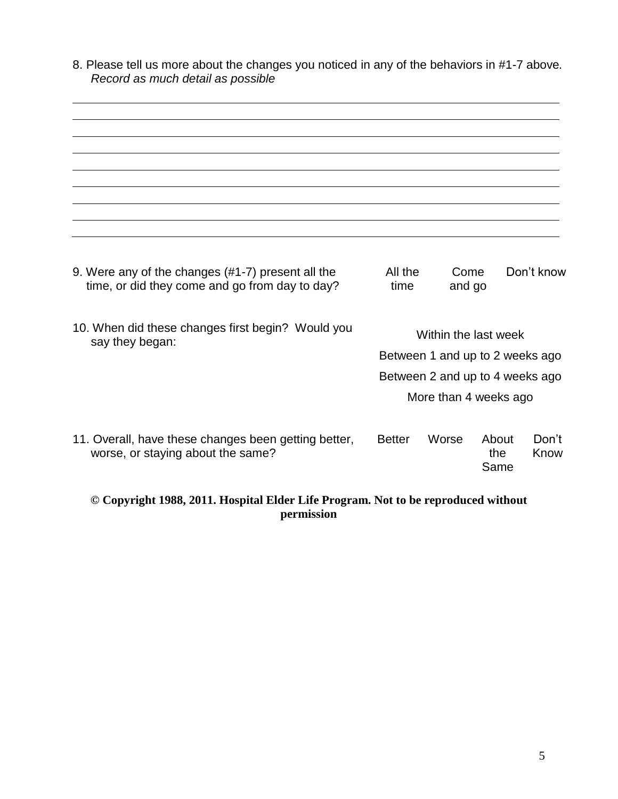8. Please tell us more about the changes you noticed in any of the behaviors in #1-7 above*. Record as much detail as possible*

| 9. Were any of the changes (#1-7) present all the<br>time, or did they come and go from day to day? | All the<br>time                                          | Come<br>and go |                      | Don't know    |
|-----------------------------------------------------------------------------------------------------|----------------------------------------------------------|----------------|----------------------|---------------|
| 10. When did these changes first begin? Would you<br>say they began:                                | Within the last week<br>Between 1 and up to 2 weeks ago  |                |                      |               |
|                                                                                                     | Between 2 and up to 4 weeks ago<br>More than 4 weeks ago |                |                      |               |
|                                                                                                     |                                                          |                |                      |               |
| 11. Overall, have these changes been getting better,<br>worse, or staying about the same?           | <b>Better</b>                                            | Worse          | About<br>the<br>Same | Don't<br>Know |

**© Copyright 1988, 2011. Hospital Elder Life Program. Not to be reproduced without permission**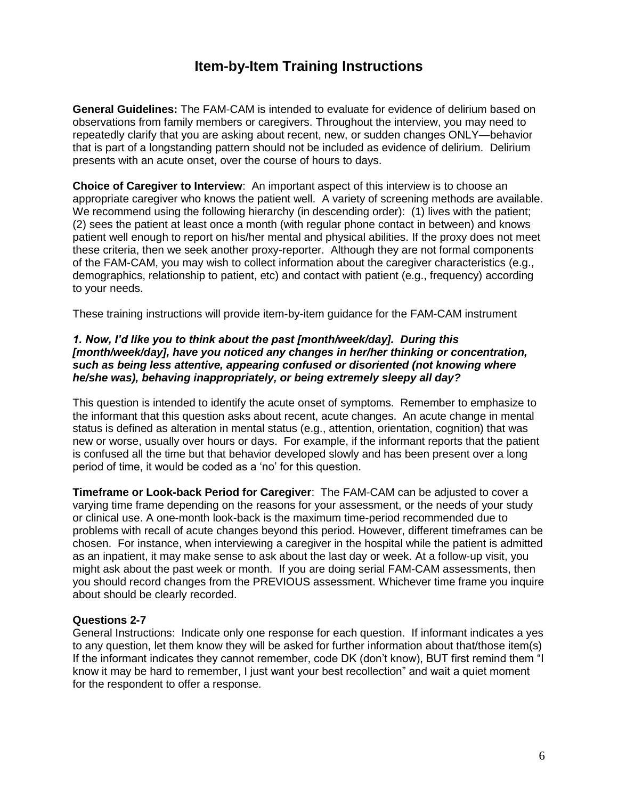### **Item-by-Item Training Instructions**

**General Guidelines:** The FAM-CAM is intended to evaluate for evidence of delirium based on observations from family members or caregivers. Throughout the interview, you may need to repeatedly clarify that you are asking about recent, new, or sudden changes ONLY—behavior that is part of a longstanding pattern should not be included as evidence of delirium. Delirium presents with an acute onset, over the course of hours to days.

**Choice of Caregiver to Interview**: An important aspect of this interview is to choose an appropriate caregiver who knows the patient well. A variety of screening methods are available. We recommend using the following hierarchy (in descending order): (1) lives with the patient: (2) sees the patient at least once a month (with regular phone contact in between) and knows patient well enough to report on his/her mental and physical abilities. If the proxy does not meet these criteria, then we seek another proxy-reporter. Although they are not formal components of the FAM-CAM, you may wish to collect information about the caregiver characteristics (e.g., demographics, relationship to patient, etc) and contact with patient (e.g., frequency) according to your needs.

These training instructions will provide item-by-item guidance for the FAM-CAM instrument

#### *1. Now, I'd like you to think about the past [month/week/day]. During this [month/week/day], have you noticed any changes in her/her thinking or concentration, such as being less attentive, appearing confused or disoriented (not knowing where he/she was), behaving inappropriately, or being extremely sleepy all day?*

This question is intended to identify the acute onset of symptoms. Remember to emphasize to the informant that this question asks about recent, acute changes. An acute change in mental status is defined as alteration in mental status (e.g., attention, orientation, cognition) that was new or worse, usually over hours or days. For example, if the informant reports that the patient is confused all the time but that behavior developed slowly and has been present over a long period of time, it would be coded as a 'no' for this question.

**Timeframe or Look-back Period for Caregiver**: The FAM-CAM can be adjusted to cover a varying time frame depending on the reasons for your assessment, or the needs of your study or clinical use. A one-month look-back is the maximum time-period recommended due to problems with recall of acute changes beyond this period. However, different timeframes can be chosen. For instance, when interviewing a caregiver in the hospital while the patient is admitted as an inpatient, it may make sense to ask about the last day or week. At a follow-up visit, you might ask about the past week or month. If you are doing serial FAM-CAM assessments, then you should record changes from the PREVIOUS assessment. Whichever time frame you inquire about should be clearly recorded.

#### **Questions 2-7**

General Instructions: Indicate only one response for each question. If informant indicates a yes to any question, let them know they will be asked for further information about that/those item(s) If the informant indicates they cannot remember, code DK (don't know), BUT first remind them "I know it may be hard to remember, I just want your best recollection" and wait a quiet moment for the respondent to offer a response.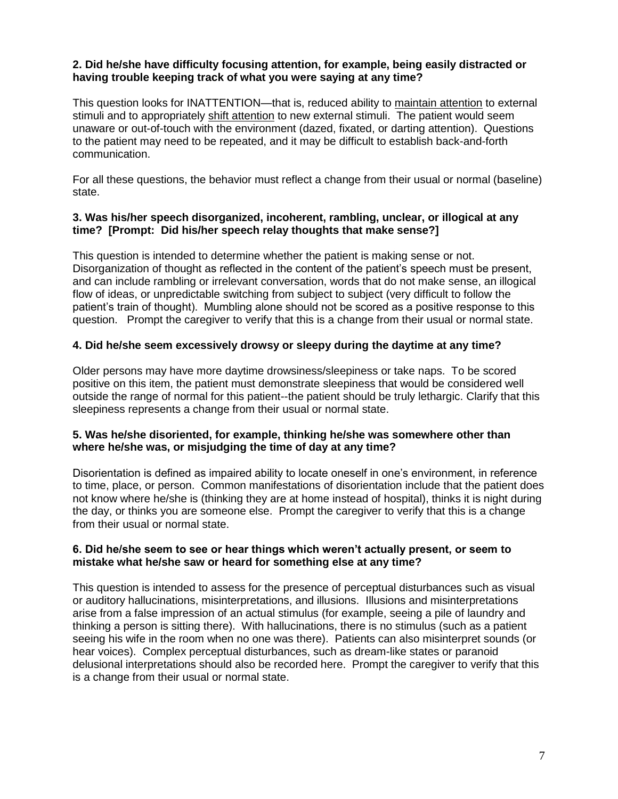### **2. Did he/she have difficulty focusing attention, for example, being easily distracted or having trouble keeping track of what you were saying at any time?**

This question looks for INATTENTION—that is, reduced ability to maintain attention to external stimuli and to appropriately shift attention to new external stimuli. The patient would seem unaware or out-of-touch with the environment (dazed, fixated, or darting attention). Questions to the patient may need to be repeated, and it may be difficult to establish back-and-forth communication.

For all these questions, the behavior must reflect a change from their usual or normal (baseline) state.

#### **3. Was his/her speech disorganized, incoherent, rambling, unclear, or illogical at any time? [Prompt: Did his/her speech relay thoughts that make sense?]**

This question is intended to determine whether the patient is making sense or not. Disorganization of thought as reflected in the content of the patient's speech must be present. and can include rambling or irrelevant conversation, words that do not make sense, an illogical flow of ideas, or unpredictable switching from subject to subject (very difficult to follow the patient's train of thought). Mumbling alone should not be scored as a positive response to this question. Prompt the caregiver to verify that this is a change from their usual or normal state.

### **4. Did he/she seem excessively drowsy or sleepy during the daytime at any time?**

Older persons may have more daytime drowsiness/sleepiness or take naps. To be scored positive on this item, the patient must demonstrate sleepiness that would be considered well outside the range of normal for this patient--the patient should be truly lethargic. Clarify that this sleepiness represents a change from their usual or normal state.

### **5. Was he/she disoriented, for example, thinking he/she was somewhere other than where he/she was, or misjudging the time of day at any time?**

Disorientation is defined as impaired ability to locate oneself in one's environment, in reference to time, place, or person. Common manifestations of disorientation include that the patient does not know where he/she is (thinking they are at home instead of hospital), thinks it is night during the day, or thinks you are someone else. Prompt the caregiver to verify that this is a change from their usual or normal state.

#### **6. Did he/she seem to see or hear things which weren't actually present, or seem to mistake what he/she saw or heard for something else at any time?**

This question is intended to assess for the presence of perceptual disturbances such as visual or auditory hallucinations, misinterpretations, and illusions. Illusions and misinterpretations arise from a false impression of an actual stimulus (for example, seeing a pile of laundry and thinking a person is sitting there). With hallucinations, there is no stimulus (such as a patient seeing his wife in the room when no one was there). Patients can also misinterpret sounds (or hear voices). Complex perceptual disturbances, such as dream-like states or paranoid delusional interpretations should also be recorded here. Prompt the caregiver to verify that this is a change from their usual or normal state.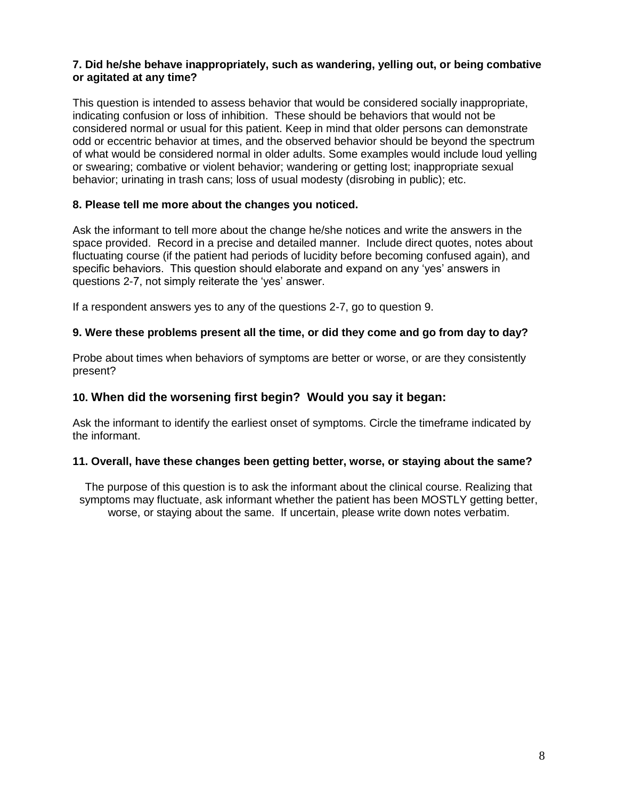### **7. Did he/she behave inappropriately, such as wandering, yelling out, or being combative or agitated at any time?**

This question is intended to assess behavior that would be considered socially inappropriate, indicating confusion or loss of inhibition. These should be behaviors that would not be considered normal or usual for this patient. Keep in mind that older persons can demonstrate odd or eccentric behavior at times, and the observed behavior should be beyond the spectrum of what would be considered normal in older adults. Some examples would include loud yelling or swearing; combative or violent behavior; wandering or getting lost; inappropriate sexual behavior; urinating in trash cans; loss of usual modesty (disrobing in public); etc.

### **8. Please tell me more about the changes you noticed.**

Ask the informant to tell more about the change he/she notices and write the answers in the space provided. Record in a precise and detailed manner. Include direct quotes, notes about fluctuating course (if the patient had periods of lucidity before becoming confused again), and specific behaviors. This question should elaborate and expand on any 'yes' answers in questions 2-7, not simply reiterate the 'yes' answer.

If a respondent answers yes to any of the questions 2-7, go to question 9.

### **9. Were these problems present all the time, or did they come and go from day to day?**

Probe about times when behaviors of symptoms are better or worse, or are they consistently present?

### **10. When did the worsening first begin? Would you say it began:**

Ask the informant to identify the earliest onset of symptoms. Circle the timeframe indicated by the informant.

### **11. Overall, have these changes been getting better, worse, or staying about the same?**

The purpose of this question is to ask the informant about the clinical course. Realizing that symptoms may fluctuate, ask informant whether the patient has been MOSTLY getting better, worse, or staying about the same. If uncertain, please write down notes verbatim.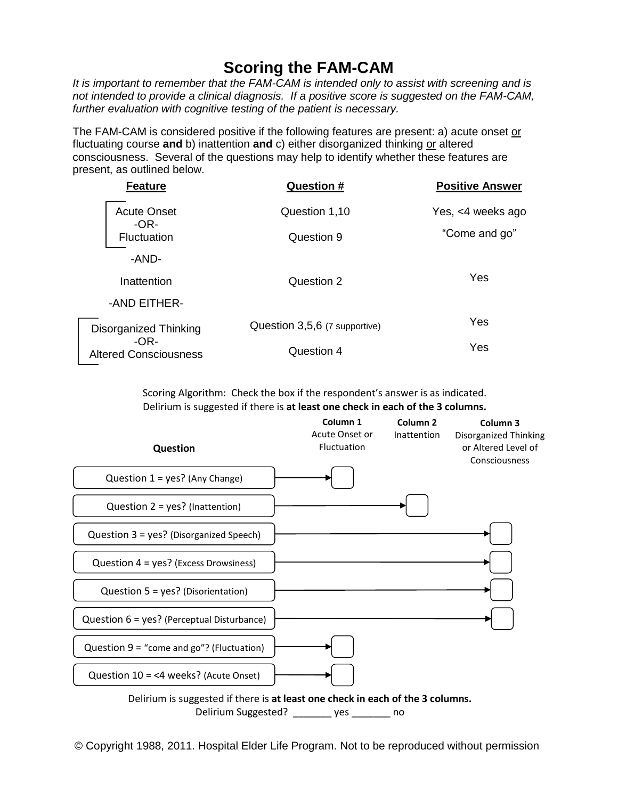# **Scoring the FAM-CAM**

It is important to remember that the FAM-CAM is intended only to assist with screening and is *not intended to provide a clinical diagnosis. If a positive score is suggested on the FAM-CAM, further evaluation with cognitive testing of the patient is necessary.*

The FAM-CAM is considered positive if the following features are present: a) acute onset or fluctuating course and b) inattention and c) either disorganized thinking or altered consciousness. Several of the questions may help to identify whether these features are present, as outlined below.

| <b>Question #</b>             | <b>Positive Answer</b> |
|-------------------------------|------------------------|
| Question 1,10                 | Yes, <4 weeks ago      |
| Question 9                    | "Come and go"          |
|                               |                        |
| Question 2                    | Yes                    |
|                               |                        |
| Question 3,5,6 (7 supportive) | Yes                    |
| Question 4                    | Yes                    |
|                               |                        |

Scoring Algorithm: Check the box if the respondent's answer is as indicated. Delirium is suggested if there is **at least one check in each of the 3 columns.**



© Copyright 1988, 2011. Hospital Elder Life Program. Not to be reproduced without permission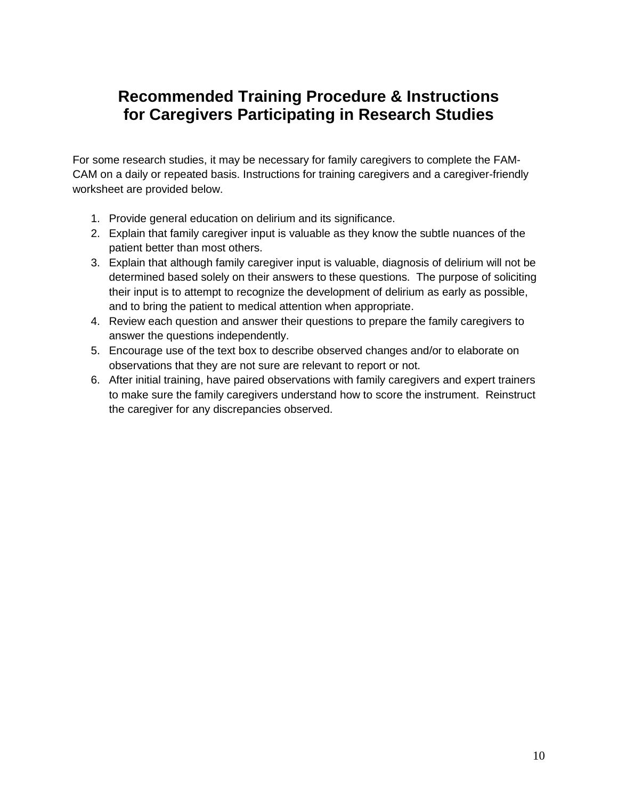# **Recommended Training Procedure & Instructions for Caregivers Participating in Research Studies**

For some research studies, it may be necessary for family caregivers to complete the FAM-CAM on a daily or repeated basis. Instructions for training caregivers and a caregiver-friendly worksheet are provided below.

- 1. Provide general education on delirium and its significance.
- 2. Explain that family caregiver input is valuable as they know the subtle nuances of the patient better than most others.
- 3. Explain that although family caregiver input is valuable, diagnosis of delirium will not be determined based solely on their answers to these questions. The purpose of soliciting their input is to attempt to recognize the development of delirium as early as possible, and to bring the patient to medical attention when appropriate.
- 4. Review each question and answer their questions to prepare the family caregivers to answer the questions independently.
- 5. Encourage use of the text box to describe observed changes and/or to elaborate on observations that they are not sure are relevant to report or not.
- 6. After initial training, have paired observations with family caregivers and expert trainers to make sure the family caregivers understand how to score the instrument. Reinstruct the caregiver for any discrepancies observed.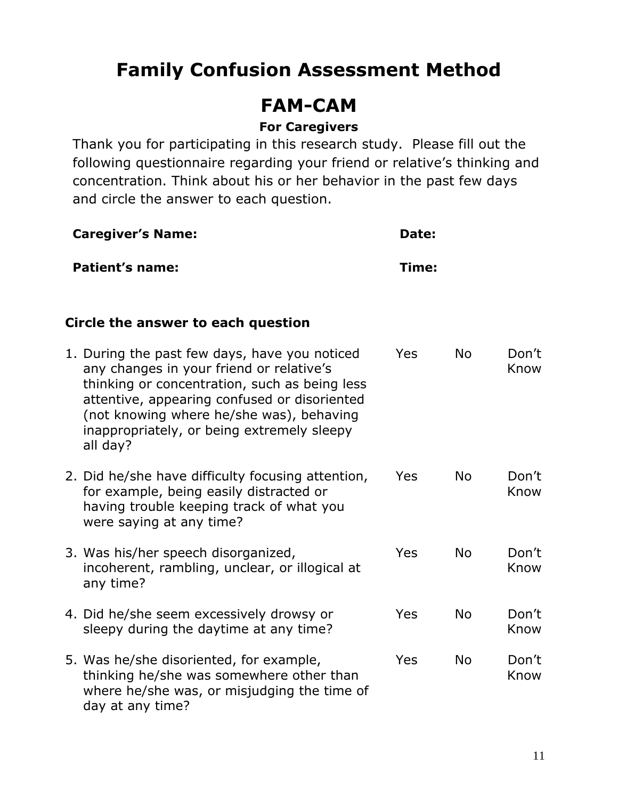# **Family Confusion Assessment Method**

# **FAM-CAM**

### **For Caregivers**

Thank you for participating in this research study. Please fill out the following questionnaire regarding your friend or relative's thinking and concentration. Think about his or her behavior in the past few days and circle the answer to each question.

| <b>Caregiver's Name:</b>                                                                                                                                                                                                                                                                         | Date: |           |               |  |
|--------------------------------------------------------------------------------------------------------------------------------------------------------------------------------------------------------------------------------------------------------------------------------------------------|-------|-----------|---------------|--|
| <b>Patient's name:</b>                                                                                                                                                                                                                                                                           | Time: |           |               |  |
| Circle the answer to each question                                                                                                                                                                                                                                                               |       |           |               |  |
| 1. During the past few days, have you noticed<br>any changes in your friend or relative's<br>thinking or concentration, such as being less<br>attentive, appearing confused or disoriented<br>(not knowing where he/she was), behaving<br>inappropriately, or being extremely sleepy<br>all day? | Yes   | <b>No</b> | Don't<br>Know |  |
| 2. Did he/she have difficulty focusing attention,<br>for example, being easily distracted or<br>having trouble keeping track of what you<br>were saying at any time?                                                                                                                             | Yes   | <b>No</b> | Don't<br>Know |  |
| 3. Was his/her speech disorganized,<br>incoherent, rambling, unclear, or illogical at<br>any time?                                                                                                                                                                                               | Yes   | <b>No</b> | Don't<br>Know |  |
| 4. Did he/she seem excessively drowsy or<br>sleepy during the daytime at any time?                                                                                                                                                                                                               | Yes   | <b>No</b> | Don't<br>Know |  |
| 5. Was he/she disoriented, for example,<br>thinking he/she was somewhere other than<br>where he/she was, or misjudging the time of<br>day at any time?                                                                                                                                           | Yes   | <b>No</b> | Don't<br>Know |  |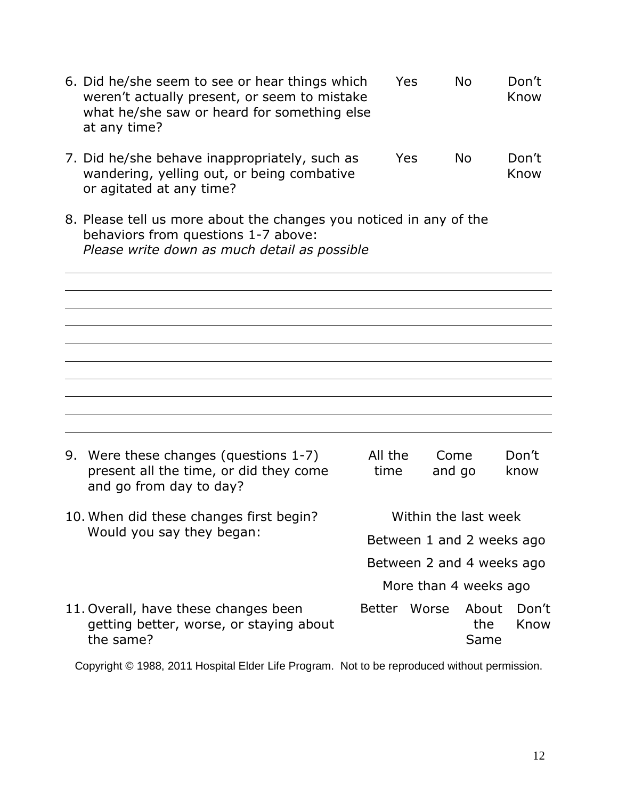|  | 6. Did he/she seem to see or hear things which<br>weren't actually present, or seem to mistake<br>what he/she saw or heard for something else<br>at any time? |                           | Yes                       | <b>No</b>             | Don't<br>Know |  |  |
|--|---------------------------------------------------------------------------------------------------------------------------------------------------------------|---------------------------|---------------------------|-----------------------|---------------|--|--|
|  | 7. Did he/she behave inappropriately, such as<br>wandering, yelling out, or being combative<br>or agitated at any time?                                       |                           | Yes                       | <b>No</b>             | Don't<br>Know |  |  |
|  | 8. Please tell us more about the changes you noticed in any of the<br>behaviors from questions 1-7 above:<br>Please write down as much detail as possible     |                           |                           |                       |               |  |  |
|  |                                                                                                                                                               |                           |                           |                       |               |  |  |
|  |                                                                                                                                                               |                           |                           |                       |               |  |  |
|  |                                                                                                                                                               |                           |                           |                       |               |  |  |
|  |                                                                                                                                                               |                           |                           |                       |               |  |  |
|  |                                                                                                                                                               |                           |                           |                       |               |  |  |
|  | 9. Were these changes (questions 1-7)<br>present all the time, or did they come<br>and go from day to day?                                                    | All the<br>time           |                           | Come<br>and go        | Don't<br>know |  |  |
|  | 10. When did these changes first begin?<br>Would you say they began:                                                                                          | Within the last week      |                           |                       |               |  |  |
|  |                                                                                                                                                               | Between 1 and 2 weeks ago |                           |                       |               |  |  |
|  |                                                                                                                                                               |                           | Between 2 and 4 weeks ago |                       |               |  |  |
|  |                                                                                                                                                               |                           |                           | More than 4 weeks ago |               |  |  |
|  | 11. Overall, have these changes been<br>getting better, worse, or staying about<br>the same?                                                                  | <b>Better</b>             | Worse                     | About<br>the<br>Same  | Don't<br>Know |  |  |

Copyright © 1988, 2011 Hospital Elder Life Program. Not to be reproduced without permission.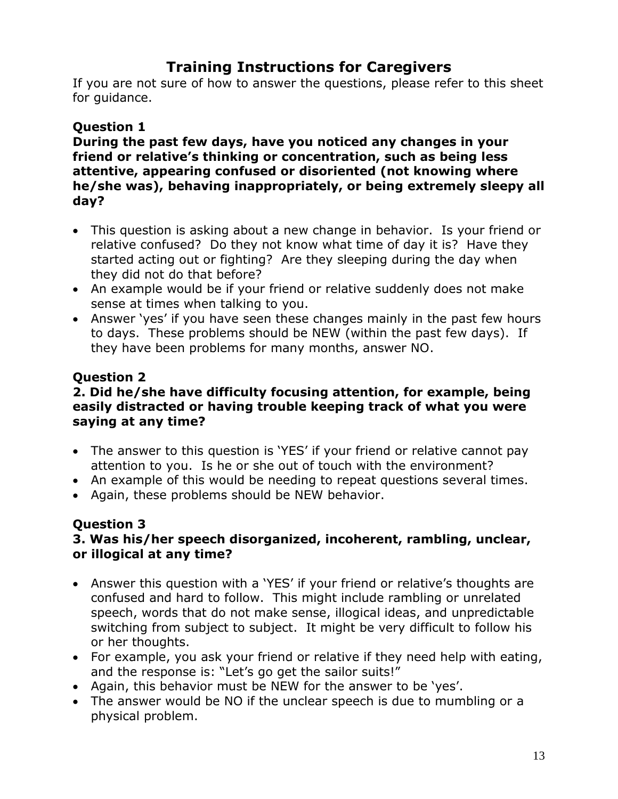### **Training Instructions for Caregivers**

If you are not sure of how to answer the questions, please refer to this sheet for guidance.

### **Question 1**

**During the past few days, have you noticed any changes in your friend or relative's thinking or concentration, such as being less attentive, appearing confused or disoriented (not knowing where he/she was), behaving inappropriately, or being extremely sleepy all day?**

- This question is asking about a new change in behavior. Is your friend or relative confused? Do they not know what time of day it is? Have they started acting out or fighting? Are they sleeping during the day when they did not do that before?
- An example would be if your friend or relative suddenly does not make sense at times when talking to you.
- Answer 'yes' if you have seen these changes mainly in the past few hours to days. These problems should be NEW (within the past few days). If they have been problems for many months, answer NO.

### **Question 2**

### **2. Did he/she have difficulty focusing attention, for example, being easily distracted or having trouble keeping track of what you were saying at any time?**

- The answer to this question is 'YES' if your friend or relative cannot pay attention to you. Is he or she out of touch with the environment?
- An example of this would be needing to repeat questions several times.
- Again, these problems should be NEW behavior.

### **Question 3**

### **3. Was his/her speech disorganized, incoherent, rambling, unclear, or illogical at any time?**

- Answer this question with a 'YES' if your friend or relative's thoughts are confused and hard to follow. This might include rambling or unrelated speech, words that do not make sense, illogical ideas, and unpredictable switching from subject to subject. It might be very difficult to follow his or her thoughts.
- For example, you ask your friend or relative if they need help with eating, and the response is: "Let's go get the sailor suits!"
- Again, this behavior must be NEW for the answer to be 'yes'.
- The answer would be NO if the unclear speech is due to mumbling or a physical problem.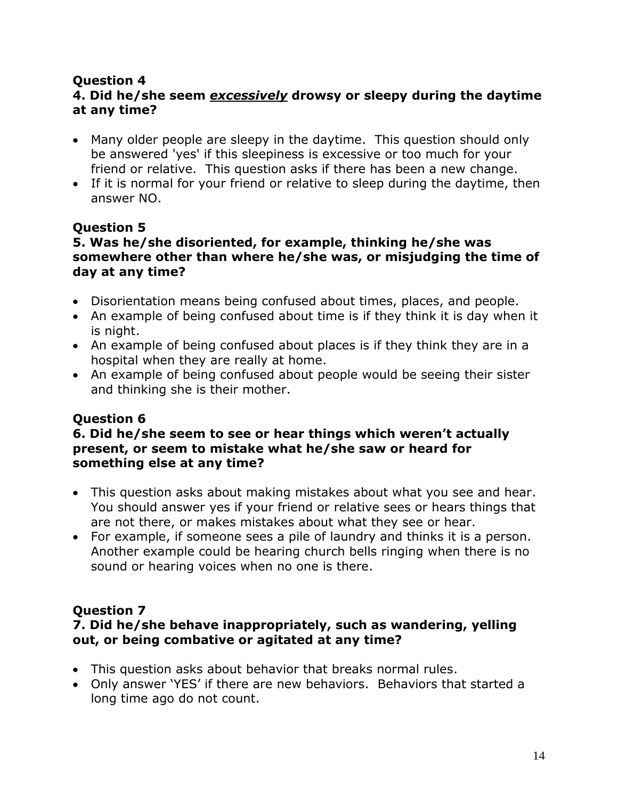### **Question 4**

### **4. Did he/she seem** *excessively* **drowsy or sleepy during the daytime at any time?**

- Many older people are sleepy in the daytime. This question should only be answered 'yes' if this sleepiness is excessive or too much for your friend or relative. This question asks if there has been a new change.
- If it is normal for your friend or relative to sleep during the daytime, then answer NO.

### **Question 5**

### **5. Was he/she disoriented, for example, thinking he/she was somewhere other than where he/she was, or misjudging the time of day at any time?**

- Disorientation means being confused about times, places, and people.
- An example of being confused about time is if they think it is day when it is night.
- An example of being confused about places is if they think they are in a hospital when they are really at home.
- An example of being confused about people would be seeing their sister and thinking she is their mother.

### **Question 6**

### **6. Did he/she seem to see or hear things which weren't actually present, or seem to mistake what he/she saw or heard for something else at any time?**

- This question asks about making mistakes about what you see and hear. You should answer yes if your friend or relative sees or hears things that are not there, or makes mistakes about what they see or hear.
- For example, if someone sees a pile of laundry and thinks it is a person. Another example could be hearing church bells ringing when there is no sound or hearing voices when no one is there.

### **Question 7**

### **7. Did he/she behave inappropriately, such as wandering, yelling out, or being combative or agitated at any time?**

- This question asks about behavior that breaks normal rules.
- Only answer 'YES' if there are new behaviors. Behaviors that started a long time ago do not count.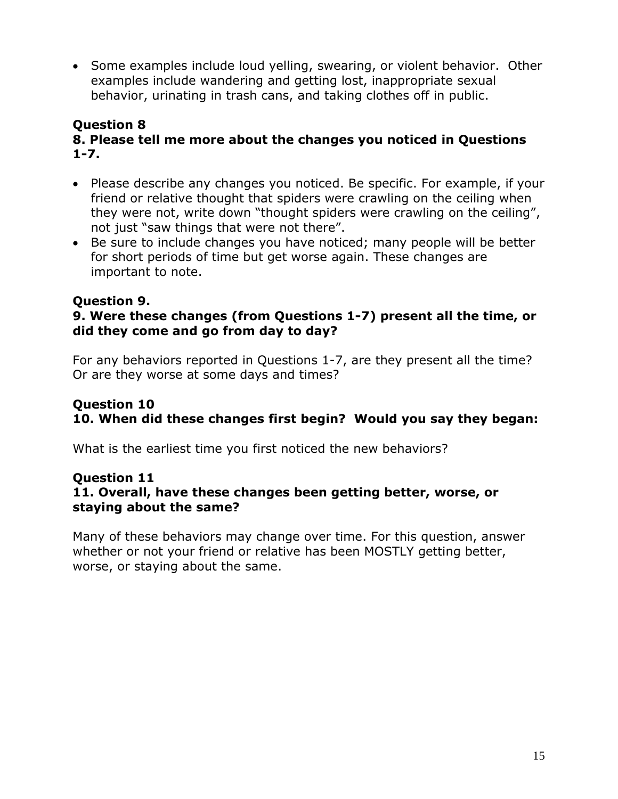• Some examples include loud yelling, swearing, or violent behavior. Other examples include wandering and getting lost, inappropriate sexual behavior, urinating in trash cans, and taking clothes off in public.

### **Question 8 8. Please tell me more about the changes you noticed in Questions 1-7.**

- Please describe any changes you noticed. Be specific. For example, if your friend or relative thought that spiders were crawling on the ceiling when they were not, write down "thought spiders were crawling on the ceiling", not just "saw things that were not there".
- Be sure to include changes you have noticed; many people will be better for short periods of time but get worse again. These changes are important to note.

### **Question 9.**

### **9. Were these changes (from Questions 1-7) present all the time, or did they come and go from day to day?**

For any behaviors reported in Questions 1-7, are they present all the time? Or are they worse at some days and times?

### **Question 10 10. When did these changes first begin? Would you say they began:**

What is the earliest time you first noticed the new behaviors?

### **Question 11 11. Overall, have these changes been getting better, worse, or staying about the same?**

Many of these behaviors may change over time. For this question, answer whether or not your friend or relative has been MOSTLY getting better, worse, or staying about the same.